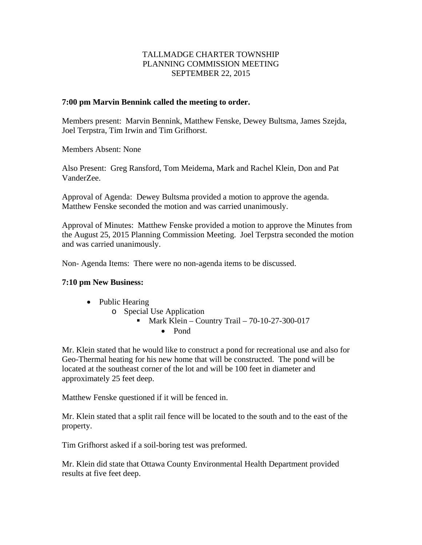### TALLMADGE CHARTER TOWNSHIP PLANNING COMMISSION MEETING SEPTEMBER 22, 2015

#### **7:00 pm Marvin Bennink called the meeting to order.**

Members present: Marvin Bennink, Matthew Fenske, Dewey Bultsma, James Szejda, Joel Terpstra, Tim Irwin and Tim Grifhorst.

Members Absent: None

Also Present: Greg Ransford, Tom Meidema, Mark and Rachel Klein, Don and Pat VanderZee.

Approval of Agenda: Dewey Bultsma provided a motion to approve the agenda. Matthew Fenske seconded the motion and was carried unanimously.

Approval of Minutes: Matthew Fenske provided a motion to approve the Minutes from the August 25, 2015 Planning Commission Meeting. Joel Terpstra seconded the motion and was carried unanimously.

Non- Agenda Items: There were no non-agenda items to be discussed.

## **7:10 pm New Business:**

- Public Hearing
	- o Special Use Application
		- Mark Klein Country Trail  $70-10-27-300-017$ 
			- Pond

Mr. Klein stated that he would like to construct a pond for recreational use and also for Geo-Thermal heating for his new home that will be constructed. The pond will be located at the southeast corner of the lot and will be 100 feet in diameter and approximately 25 feet deep.

Matthew Fenske questioned if it will be fenced in.

Mr. Klein stated that a split rail fence will be located to the south and to the east of the property.

Tim Grifhorst asked if a soil-boring test was preformed.

Mr. Klein did state that Ottawa County Environmental Health Department provided results at five feet deep.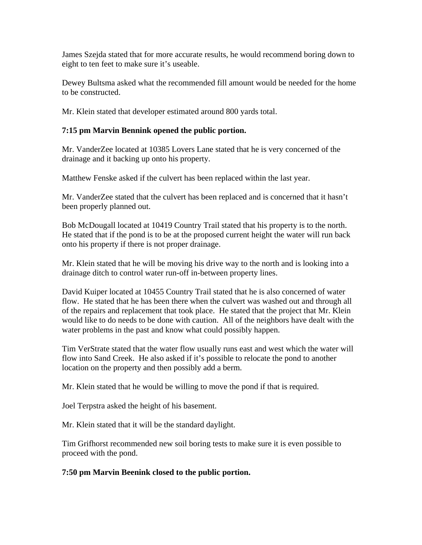James Szejda stated that for more accurate results, he would recommend boring down to eight to ten feet to make sure it's useable.

Dewey Bultsma asked what the recommended fill amount would be needed for the home to be constructed.

Mr. Klein stated that developer estimated around 800 yards total.

### **7:15 pm Marvin Bennink opened the public portion.**

Mr. VanderZee located at 10385 Lovers Lane stated that he is very concerned of the drainage and it backing up onto his property.

Matthew Fenske asked if the culvert has been replaced within the last year.

Mr. VanderZee stated that the culvert has been replaced and is concerned that it hasn't been properly planned out.

Bob McDougall located at 10419 Country Trail stated that his property is to the north. He stated that if the pond is to be at the proposed current height the water will run back onto his property if there is not proper drainage.

Mr. Klein stated that he will be moving his drive way to the north and is looking into a drainage ditch to control water run-off in-between property lines.

David Kuiper located at 10455 Country Trail stated that he is also concerned of water flow. He stated that he has been there when the culvert was washed out and through all of the repairs and replacement that took place. He stated that the project that Mr. Klein would like to do needs to be done with caution. All of the neighbors have dealt with the water problems in the past and know what could possibly happen.

Tim VerStrate stated that the water flow usually runs east and west which the water will flow into Sand Creek. He also asked if it's possible to relocate the pond to another location on the property and then possibly add a berm.

Mr. Klein stated that he would be willing to move the pond if that is required.

Joel Terpstra asked the height of his basement.

Mr. Klein stated that it will be the standard daylight.

Tim Grifhorst recommended new soil boring tests to make sure it is even possible to proceed with the pond.

## **7:50 pm Marvin Beenink closed to the public portion.**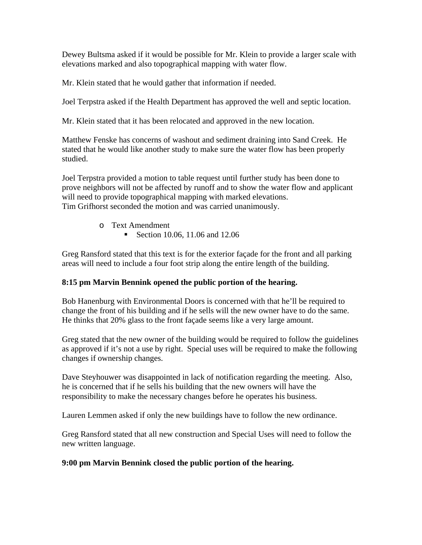Dewey Bultsma asked if it would be possible for Mr. Klein to provide a larger scale with elevations marked and also topographical mapping with water flow.

Mr. Klein stated that he would gather that information if needed.

Joel Terpstra asked if the Health Department has approved the well and septic location.

Mr. Klein stated that it has been relocated and approved in the new location.

Matthew Fenske has concerns of washout and sediment draining into Sand Creek. He stated that he would like another study to make sure the water flow has been properly studied.

Joel Terpstra provided a motion to table request until further study has been done to prove neighbors will not be affected by runoff and to show the water flow and applicant will need to provide topographical mapping with marked elevations. Tim Grifhorst seconded the motion and was carried unanimously.

- o Text Amendment
	- Section 10.06, 11.06 and 12.06

Greg Ransford stated that this text is for the exterior façade for the front and all parking areas will need to include a four foot strip along the entire length of the building.

# **8:15 pm Marvin Bennink opened the public portion of the hearing.**

Bob Hanenburg with Environmental Doors is concerned with that he'll be required to change the front of his building and if he sells will the new owner have to do the same. He thinks that 20% glass to the front façade seems like a very large amount.

Greg stated that the new owner of the building would be required to follow the guidelines as approved if it's not a use by right. Special uses will be required to make the following changes if ownership changes.

Dave Steyhouwer was disappointed in lack of notification regarding the meeting. Also, he is concerned that if he sells his building that the new owners will have the responsibility to make the necessary changes before he operates his business.

Lauren Lemmen asked if only the new buildings have to follow the new ordinance.

Greg Ransford stated that all new construction and Special Uses will need to follow the new written language.

# **9:00 pm Marvin Bennink closed the public portion of the hearing.**